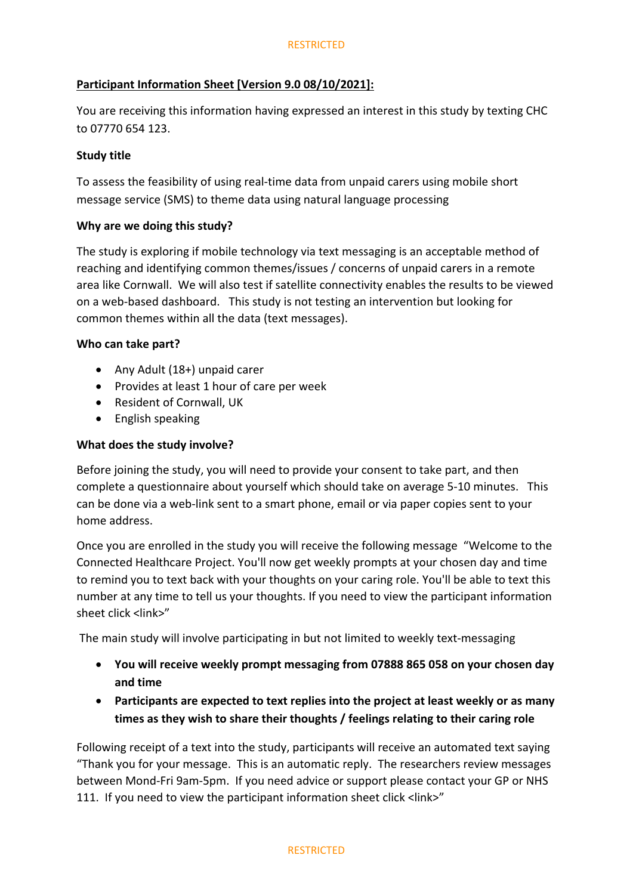# **Participant Information Sheet [Version 9.0 08/10/2021]:**

You are receiving this information having expressed an interest in this study by texting CHC to 07770 654 123.

## **Study title**

To assess the feasibility of using real-time data from unpaid carers using mobile short message service (SMS) to theme data using natural language processing

## **Why are we doing this study?**

The study is exploring if mobile technology via text messaging is an acceptable method of reaching and identifying common themes/issues / concerns of unpaid carers in a remote area like Cornwall. We will also test if satellite connectivity enables the results to be viewed on a web-based dashboard. This study is not testing an intervention but looking for common themes within all the data (text messages).

## **Who can take part?**

- Any Adult (18+) unpaid carer
- Provides at least 1 hour of care per week
- Resident of Cornwall, UK
- English speaking

## **What does the study involve?**

Before joining the study, you will need to provide your consent to take part, and then complete a questionnaire about yourself which should take on average 5-10 minutes. This can be done via a web-link sent to a smart phone, email or via paper copies sent to your home address.

Once you are enrolled in the study you will receive the following message "Welcome to the Connected Healthcare Project. You'll now get weekly prompts at your chosen day and time to remind you to text back with your thoughts on your caring role. You'll be able to text this number at any time to tell us your thoughts. If you need to view the participant information sheet click <link>"

The main study will involve participating in but not limited to weekly text-messaging

- **You will receive weekly prompt messaging from 07888 865 058 on your chosen day and time**
- **Participants are expected to text replies into the project at least weekly or as many times as they wish to share their thoughts / feelings relating to their caring role**

Following receipt of a text into the study, participants will receive an automated text saying "Thank you for your message. This is an automatic reply. The researchers review messages between Mond-Fri 9am-5pm. If you need advice or support please contact your GP or NHS 111. If you need to view the participant information sheet click <link>"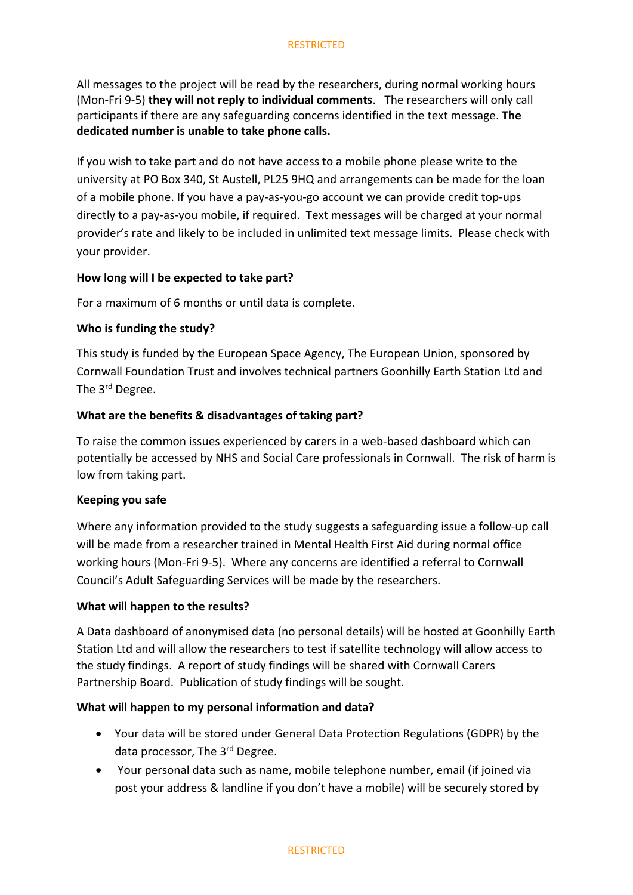### **RESTRICTED**

All messages to the project will be read by the researchers, during normal working hours (Mon-Fri 9-5) **they will not reply to individual comments**. The researchers will only call participants if there are any safeguarding concerns identified in the text message. **The dedicated number is unable to take phone calls.** 

If you wish to take part and do not have access to a mobile phone please write to the university at PO Box 340, St Austell, PL25 9HQ and arrangements can be made for the loan of a mobile phone. If you have a pay-as-you-go account we can provide credit top-ups directly to a pay-as-you mobile, if required. Text messages will be charged at your normal provider's rate and likely to be included in unlimited text message limits. Please check with your provider.

### **How long will I be expected to take part?**

For a maximum of 6 months or until data is complete.

### **Who is funding the study?**

This study is funded by the European Space Agency, The European Union, sponsored by Cornwall Foundation Trust and involves technical partners Goonhilly Earth Station Ltd and The 3<sup>rd</sup> Degree.

### **What are the benefits & disadvantages of taking part?**

To raise the common issues experienced by carers in a web-based dashboard which can potentially be accessed by NHS and Social Care professionals in Cornwall. The risk of harm is low from taking part.

#### **Keeping you safe**

Where any information provided to the study suggests a safeguarding issue a follow-up call will be made from a researcher trained in Mental Health First Aid during normal office working hours (Mon-Fri 9-5). Where any concerns are identified a referral to Cornwall Council's Adult Safeguarding Services will be made by the researchers.

### **What will happen to the results?**

A Data dashboard of anonymised data (no personal details) will be hosted at Goonhilly Earth Station Ltd and will allow the researchers to test if satellite technology will allow access to the study findings. A report of study findings will be shared with Cornwall Carers Partnership Board. Publication of study findings will be sought.

### **What will happen to my personal information and data?**

- Your data will be stored under General Data Protection Regulations (GDPR) by the data processor, The 3rd Degree.
- Your personal data such as name, mobile telephone number, email (if joined via post your address & landline if you don't have a mobile) will be securely stored by